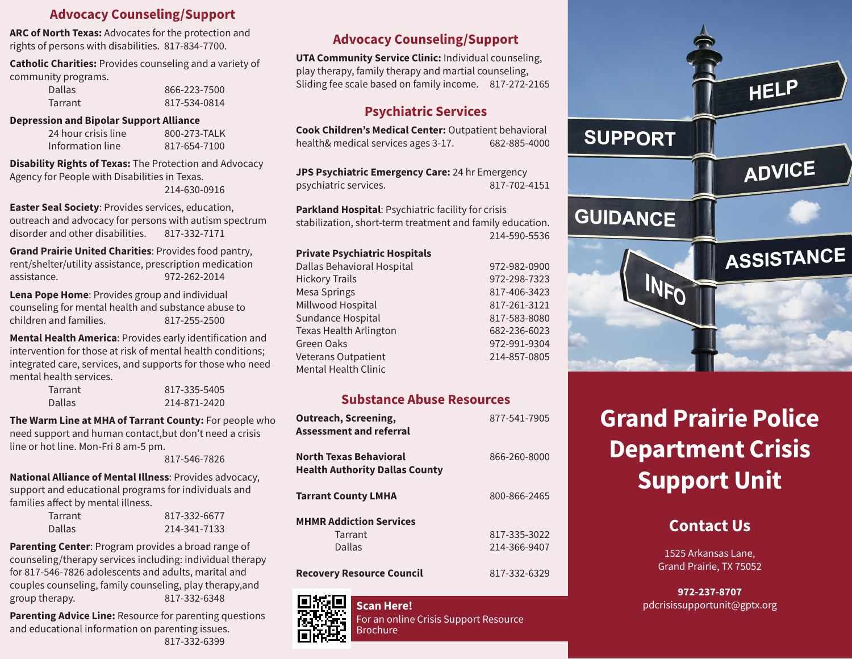### **Advocacy Counseling/Support**

**ARC of North Texas:** Advocates for the protection and rights of persons with disabilities. 817-834-7700.

**Catholic Charities:** Provides counseling and a variety of community programs.

| <b>Dallas</b> | 866-223-7500 |
|---------------|--------------|
| Tarrant       | 817-534-0814 |

#### **Depression and Bipolar Support Alliance**

| 24 hour crisis line | 800-273-TALK |
|---------------------|--------------|
| Information line    | 817-654-7100 |

**Disability Rights of Texas:** The Protection and Advocacy Agency for People with Disabilities in Texas. 214-630-0916

**Easter Seal Society**: Provides services, education, outreach and advocacy for persons with autism spectrum disorder and other disabilities. 817-332-7171

**Grand Prairie United Charities**: Provides food pantry, rent/shelter/utility assistance, prescription medication assistance. 972-262-2014

**Lena Pope Home**: Provides group and individual counseling for mental health and substance abuse to children and families. 817-255-2500

**Mental Health America**: Provides early identification and intervention for those at risk of mental health conditions; integrated care, services, and supports for those who need mental health services.

| Tarrant | 817-335-5405 |
|---------|--------------|
| Dallas  | 214-871-2420 |

**The Warm Line at MHA of Tarrant County:** For people who need support and human contact,but don't need a crisis line or hot line. Mon-Fri 8 am-5 pm.

817-546-7826

**National Alliance of Mental Illness**: Provides advocacy, support and educational programs for individuals and families affect by mental illness.

| Tarrant       | 817-332-6677 |
|---------------|--------------|
| <b>Dallas</b> | 214-341-7133 |

**Parenting Center**: Program provides a broad range of counseling/therapy services including: individual therapy for 817-546-7826 adolescents and adults, marital and couples counseling, family counseling, play therapy,and group therapy. 817-332-6348

**Parenting Advice Line: Resource for parenting questions** and educational information on parenting issues. 817-332-6399

## **Advocacy Counseling/Support**

**UTA Community Service Clinic:** Individual counseling, play therapy, family therapy and martial counseling, Sliding fee scale based on family income. 817-272-2165

#### **Psychiatric Services**

**Cook Children's Medical Center:** Outpatient behavioral health& medical services ages 3-17. 682-885-4000

**JPS Psychiatric Emergency Care:** 24 hr Emergency psychiatric services. 817-702-4151

**Parkland Hospital**: Psychiatric facility for crisis stabilization, short-term treatment and family education. 214-590-5536

#### **Private Psychiatric Hospitals**

| Dallas Behavioral Hospital    | 972-982-0900 |
|-------------------------------|--------------|
| <b>Hickory Trails</b>         | 972-298-7323 |
| Mesa Springs                  | 817-406-3423 |
| Millwood Hospital             | 817-261-3121 |
| Sundance Hospital             | 817-583-8080 |
| <b>Texas Health Arlington</b> | 682-236-6023 |
| Green Oaks                    | 972-991-9304 |
| Veterans Outpatient           | 214-857-0805 |
| Mental Health Clinic          |              |
|                               |              |

#### **Substance Abuse Resources**

| <b>Outreach, Screening,</b><br><b>Assessment and referral</b>          | 877-541-7905 |
|------------------------------------------------------------------------|--------------|
| <b>North Texas Behavioral</b><br><b>Health Authority Dallas County</b> | 866-260-8000 |
| <b>Tarrant County LMHA</b>                                             | 800-866-2465 |
| <b>MHMR Addiction Services</b>                                         |              |
| Tarrant                                                                | 817-335-3022 |
| Dallas                                                                 | 214-366-9407 |
| <b>Recovery Resource Council</b>                                       | 817-332-6329 |



For an online Crisis Support Resource Brochure



# **Grand Prairie Police Department Crisis Support Unit**

## **Contact Us**

1525 Arkansas Lane, Grand Prairie, TX 75052

**972-237-8707 Scan Here! pdcrisissupportunit@gptx.org but all the set of the set of the set of the set of the set of the set of the set of the set of the set of the set of the set of the set of the set of the set of the set of the**